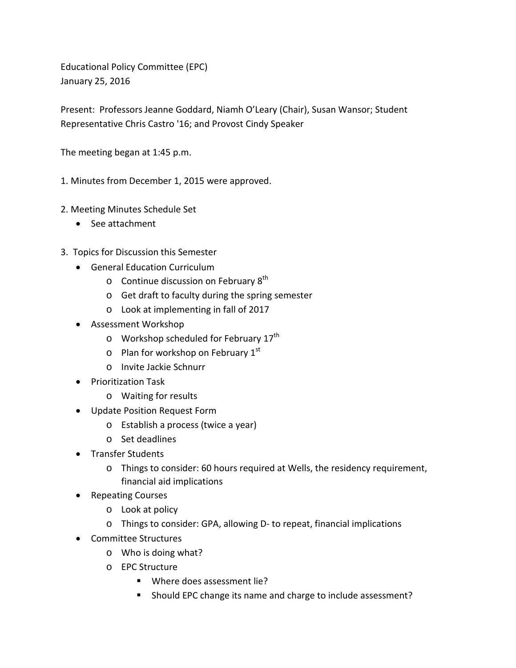Educational Policy Committee (EPC) January 25, 2016

Present: Professors Jeanne Goddard, Niamh O'Leary (Chair), Susan Wansor; Student Representative Chris Castro '16; and Provost Cindy Speaker

The meeting began at 1:45 p.m.

1. Minutes from December 1, 2015 were approved.

- 2. Meeting Minutes Schedule Set
	- See attachment
- 3. Topics for Discussion this Semester
	- General Education Curriculum
		- $\circ$  Continue discussion on February 8<sup>th</sup>
		- o Get draft to faculty during the spring semester
		- o Look at implementing in fall of 2017
	- Assessment Workshop
		- $\circ$  Workshop scheduled for February 17<sup>th</sup>
		- $\circ$  Plan for workshop on February 1st
		- o Invite Jackie Schnurr
	- Prioritization Task
		- o Waiting for results
	- Update Position Request Form
		- o Establish a process (twice a year)
		- o Set deadlines
	- Transfer Students
		- o Things to consider: 60 hours required at Wells, the residency requirement, financial aid implications
	- Repeating Courses
		- o Look at policy
		- o Things to consider: GPA, allowing D- to repeat, financial implications
	- Committee Structures
		- o Who is doing what?
		- o EPC Structure
			- Where does assessment lie?
			- **Should EPC change its name and charge to include assessment?**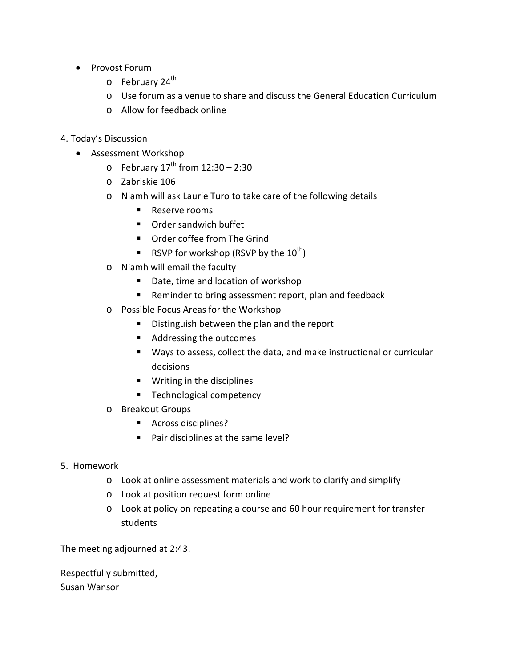- Provost Forum
	- $\circ$  February 24<sup>th</sup>
	- o Use forum as a venue to share and discuss the General Education Curriculum
	- o Allow for feedback online
- 4. Today's Discussion
	- Assessment Workshop
		- $\circ$  February 17<sup>th</sup> from 12:30 2:30
		- o Zabriskie 106
		- o Niamh will ask Laurie Turo to take care of the following details
			- Reserve rooms
			- Order sandwich buffet
			- Order coffee from The Grind
			- **RSVP** for workshop (RSVP by the  $10^{th}$ )
		- o Niamh will email the faculty
			- Date, time and location of workshop
			- **Reminder to bring assessment report, plan and feedback**
		- o Possible Focus Areas for the Workshop
			- **Distinguish between the plan and the report**
			- Addressing the outcomes
			- Ways to assess, collect the data, and make instructional or curricular decisions
			- **Writing in the disciplines**
			- **Technological competency**
		- o Breakout Groups
			- Across disciplines?
			- Pair disciplines at the same level?
- 5. Homework
	- o Look at online assessment materials and work to clarify and simplify
	- o Look at position request form online
	- o Look at policy on repeating a course and 60 hour requirement for transfer students

The meeting adjourned at 2:43.

Respectfully submitted, Susan Wansor